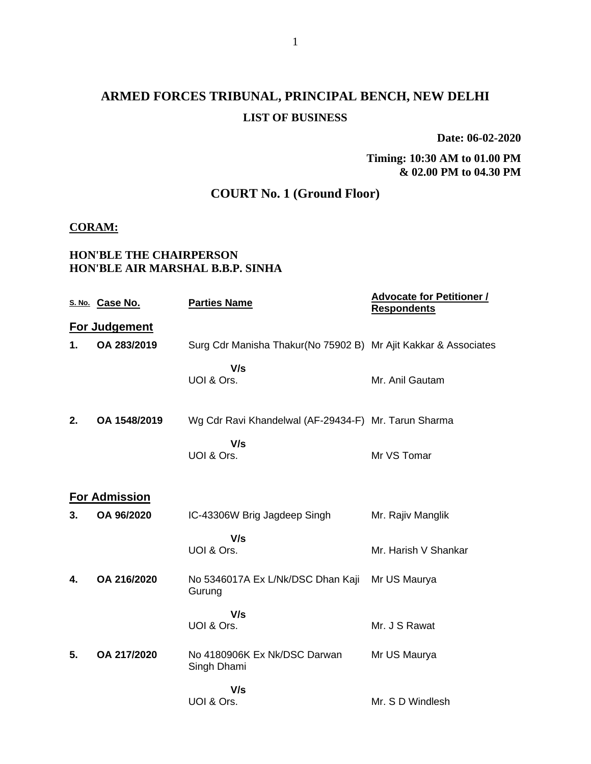# **ARMED FORCES TRIBUNAL, PRINCIPAL BENCH, NEW DELHI LIST OF BUSINESS**

**Date: 06-02-2020**

**Timing: 10:30 AM to 01.00 PM & 02.00 PM to 04.30 PM**

## **COURT No. 1 (Ground Floor)**

#### **CORAM:**

### **HON'BLE THE CHAIRPERSON HON'BLE AIR MARSHAL B.B.P. SINHA**

|    | S. No. Case No.      | <b>Parties Name</b>                                             | <b>Advocate for Petitioner /</b><br><b>Respondents</b> |
|----|----------------------|-----------------------------------------------------------------|--------------------------------------------------------|
|    | For Judgement        |                                                                 |                                                        |
| 1. | OA 283/2019          | Surg Cdr Manisha Thakur(No 75902 B) Mr Ajit Kakkar & Associates |                                                        |
|    |                      | V/s<br>UOI & Ors.                                               | Mr. Anil Gautam                                        |
| 2. | OA 1548/2019         | Wg Cdr Ravi Khandelwal (AF-29434-F) Mr. Tarun Sharma            |                                                        |
|    |                      | V/s<br>UOI & Ors.                                               | Mr VS Tomar                                            |
|    | <b>For Admission</b> |                                                                 |                                                        |
| 3. | OA 96/2020           | IC-43306W Brig Jagdeep Singh                                    | Mr. Rajiv Manglik                                      |
|    |                      | V/s<br>UOI & Ors.                                               | Mr. Harish V Shankar                                   |
| 4. | OA 216/2020          | No 5346017A Ex L/Nk/DSC Dhan Kaji<br>Gurung                     | Mr US Maurya                                           |
|    |                      | V/s<br>UOI & Ors.                                               | Mr. J S Rawat                                          |
| 5. | OA 217/2020          | No 4180906K Ex Nk/DSC Darwan<br>Singh Dhami                     | Mr US Maurya                                           |
|    |                      | V/s<br>UOI & Ors.                                               | Mr. S D Windlesh                                       |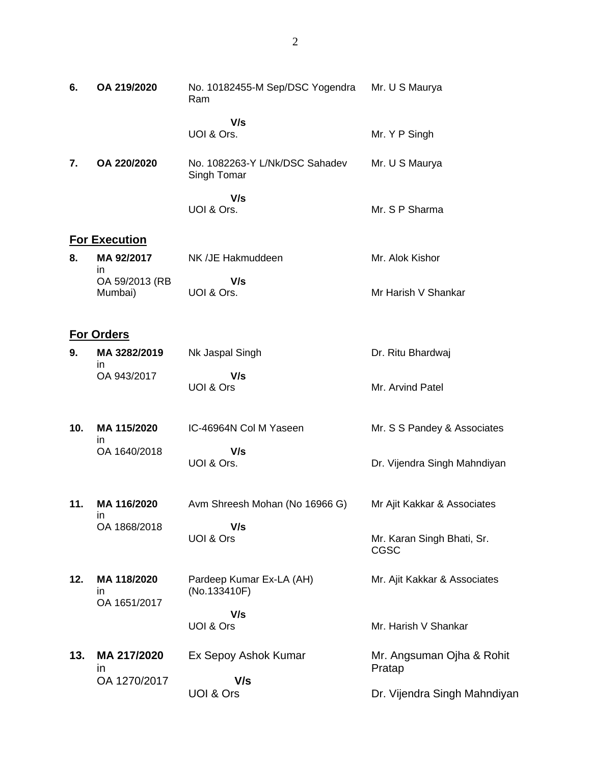| 6.  | OA 219/2020                       | No. 10182455-M Sep/DSC Yogendra<br>Ram        | Mr. U S Maurya                      |
|-----|-----------------------------------|-----------------------------------------------|-------------------------------------|
|     |                                   | V/s<br>UOI & Ors.                             | Mr. Y P Singh                       |
| 7.  | OA 220/2020                       | No. 1082263-Y L/Nk/DSC Sahadev<br>Singh Tomar | Mr. U S Maurya                      |
|     |                                   | V/s<br>UOI & Ors.                             | Mr. S P Sharma                      |
|     | <b>For Execution</b>              |                                               |                                     |
| 8.  | MA 92/2017                        | NK /JE Hakmuddeen                             | Mr. Alok Kishor                     |
|     | in<br>OA 59/2013 (RB<br>Mumbai)   | V/s<br>UOI & Ors.                             | Mr Harish V Shankar                 |
|     | <b>For Orders</b>                 |                                               |                                     |
| 9.  | MA 3282/2019                      | Nk Jaspal Singh                               | Dr. Ritu Bhardwaj                   |
|     | in.<br>OA 943/2017                | V/s<br>UOI & Ors                              | Mr. Arvind Patel                    |
| 10. | MA 115/2020<br>in                 | IC-46964N Col M Yaseen                        | Mr. S S Pandey & Associates         |
|     | OA 1640/2018                      | V/s<br>UOI & Ors.                             | Dr. Vijendra Singh Mahndiyan        |
| 11. | MA 116/2020<br>in                 | Avm Shreesh Mohan (No 16966 G)                | Mr Ajit Kakkar & Associates         |
|     | OA 1868/2018                      | V/s<br>UOI & Ors                              | Mr. Karan Singh Bhati, Sr.<br>CGSC  |
| 12. | MA 118/2020<br>ın<br>OA 1651/2017 | Pardeep Kumar Ex-LA (AH)<br>(No.133410F)      | Mr. Ajit Kakkar & Associates        |
|     |                                   | V/s<br>UOI & Ors                              | Mr. Harish V Shankar                |
| 13. | MA 217/2020<br>$\mathsf{In}$      | Ex Sepoy Ashok Kumar                          | Mr. Angsuman Ojha & Rohit<br>Pratap |
|     | OA 1270/2017                      | V/s<br>UOI & Ors                              | Dr. Vijendra Singh Mahndiyan        |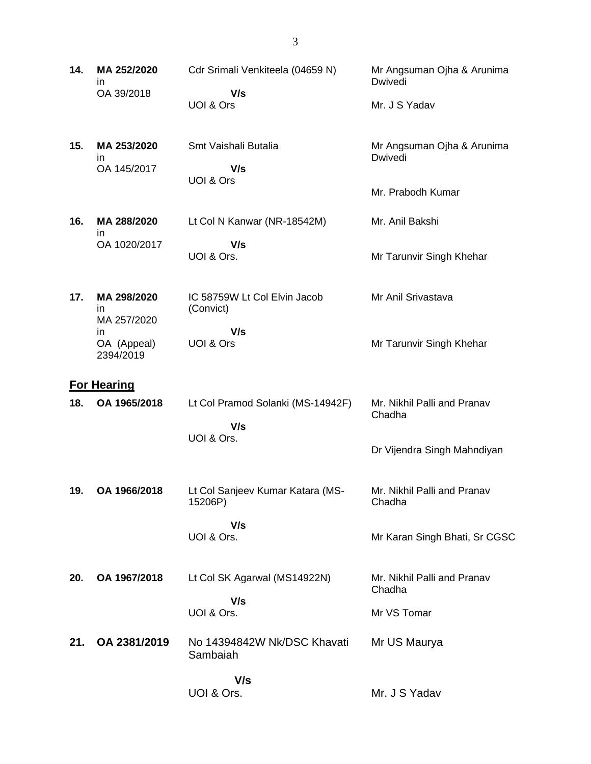| 14. | MA 252/2020<br>in<br>OA 39/2018   | Cdr Srimali Venkiteela (04659 N)<br>V/s<br>UOI & Ors | Mr Angsuman Ojha & Arunima<br>Dwivedi<br>Mr. J S Yadav |
|-----|-----------------------------------|------------------------------------------------------|--------------------------------------------------------|
| 15. | MA 253/2020<br>in.<br>OA 145/2017 | Smt Vaishali Butalia<br>V/s<br>UOI & Ors             | Mr Angsuman Ojha & Arunima<br>Dwivedi                  |
|     |                                   |                                                      | Mr. Prabodh Kumar                                      |
| 16. | MA 288/2020<br>in                 | Lt Col N Kanwar (NR-18542M)                          | Mr. Anil Bakshi                                        |
|     | OA 1020/2017                      | V/s<br>UOI & Ors.                                    | Mr Tarunvir Singh Khehar                               |
| 17. | MA 298/2020<br>in.<br>MA 257/2020 | IC 58759W Lt Col Elvin Jacob<br>(Convict)            | Mr Anil Srivastava                                     |
|     | in<br>OA (Appeal)<br>2394/2019    | V/s<br>UOI & Ors                                     | Mr Tarunvir Singh Khehar                               |
|     | <b>For Hearing</b>                |                                                      |                                                        |
| 18. | OA 1965/2018                      | Lt Col Pramod Solanki (MS-14942F)<br>V/s             | Mr. Nikhil Palli and Pranav<br>Chadha                  |
|     |                                   | UOI & Ors.                                           | Dr Vijendra Singh Mahndiyan                            |
| 19. | OA 1966/2018                      | Lt Col Sanjeev Kumar Katara (MS-<br>15206P)          | Mr. Nikhil Palli and Pranav<br>Chadha                  |
|     |                                   | V/s<br>UOI & Ors.                                    | Mr Karan Singh Bhati, Sr CGSC                          |
| 20. | OA 1967/2018                      | Lt Col SK Agarwal (MS14922N)                         | Mr. Nikhil Palli and Pranav<br>Chadha                  |
|     |                                   | V/s<br>UOI & Ors.                                    | Mr VS Tomar                                            |
| 21. | OA 2381/2019                      | No 14394842W Nk/DSC Khavati<br>Sambaiah              | Mr US Maurya                                           |
|     |                                   | V/s<br>UOI & Ors.                                    | Mr. J S Yadav                                          |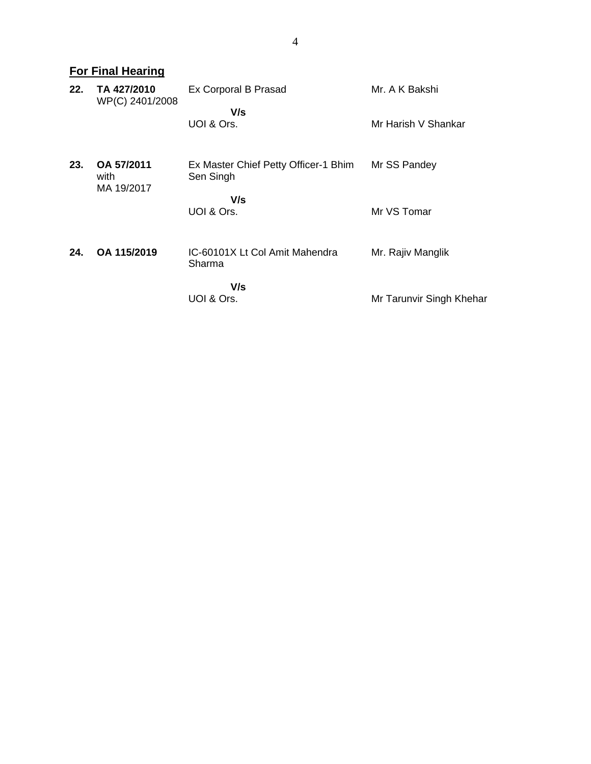|     | <b>For Final Hearing</b>         |                                                          |                                       |
|-----|----------------------------------|----------------------------------------------------------|---------------------------------------|
| 22. | TA 427/2010<br>WP(C) 2401/2008   | Ex Corporal B Prasad<br>V/s<br>UOI & Ors.                | Mr. A K Bakshi<br>Mr Harish V Shankar |
| 23. | OA 57/2011<br>with<br>MA 19/2017 | Ex Master Chief Petty Officer-1 Bhim<br>Sen Singh<br>V/s | Mr SS Pandey                          |
| 24. | OA 115/2019                      | UOI & Ors.<br>IC-60101X Lt Col Amit Mahendra<br>Sharma   | Mr VS Tomar<br>Mr. Rajiv Manglik      |
|     |                                  | V/s<br>UOI & Ors.                                        | Mr Tarunvir Singh Khehar              |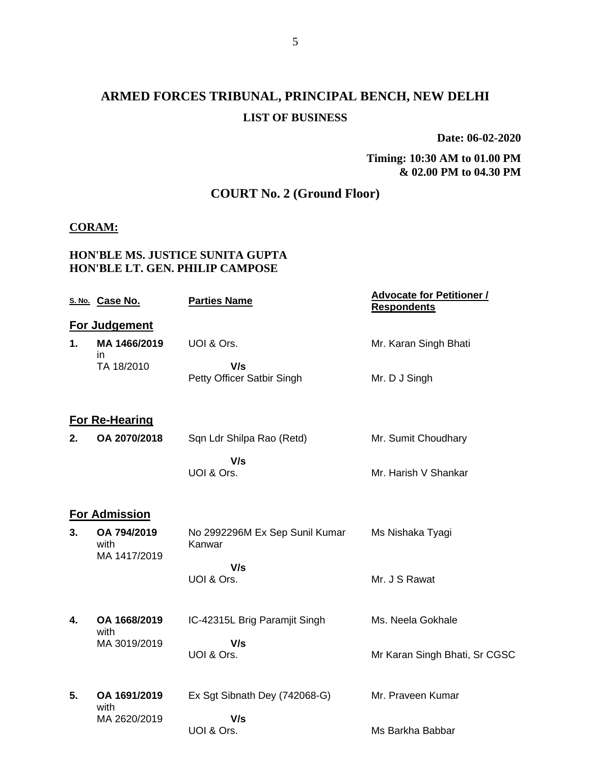# **ARMED FORCES TRIBUNAL, PRINCIPAL BENCH, NEW DELHI LIST OF BUSINESS**

**Date: 06-02-2020**

**Timing: 10:30 AM to 01.00 PM & 02.00 PM to 04.30 PM**

## **COURT No. 2 (Ground Floor)**

#### **CORAM:**

#### **HON'BLE MS. JUSTICE SUNITA GUPTA HON'BLE LT. GEN. PHILIP CAMPOSE**

|    | S. No. Case No.                     | <b>Parties Name</b>                      | <b>Advocate for Petitioner /</b><br><b>Respondents</b> |
|----|-------------------------------------|------------------------------------------|--------------------------------------------------------|
|    | For Judgement                       |                                          |                                                        |
| 1. | MA 1466/2019<br>in.                 | UOI & Ors.                               | Mr. Karan Singh Bhati                                  |
|    | TA 18/2010                          | V/s<br>Petty Officer Satbir Singh        | Mr. D J Singh                                          |
|    | <b>For Re-Hearing</b>               |                                          |                                                        |
| 2. | OA 2070/2018                        | Sqn Ldr Shilpa Rao (Retd)                | Mr. Sumit Choudhary                                    |
|    |                                     | V/s<br>UOI & Ors.                        | Mr. Harish V Shankar                                   |
|    | <b>For Admission</b>                |                                          |                                                        |
| 3. | OA 794/2019<br>with<br>MA 1417/2019 | No 2992296M Ex Sep Sunil Kumar<br>Kanwar | Ms Nishaka Tyagi                                       |
|    |                                     | V/s<br>UOI & Ors.                        | Mr. J S Rawat                                          |
| 4. | OA 1668/2019<br>with                | IC-42315L Brig Paramjit Singh            | Ms. Neela Gokhale                                      |
|    | MA 3019/2019                        | V/s<br>UOI & Ors.                        | Mr Karan Singh Bhati, Sr CGSC                          |
| 5. | OA 1691/2019<br>with                | Ex Sgt Sibnath Dey (742068-G)            | Mr. Praveen Kumar                                      |
|    | MA 2620/2019                        | V/s<br>UOI & Ors.                        | Ms Barkha Babbar                                       |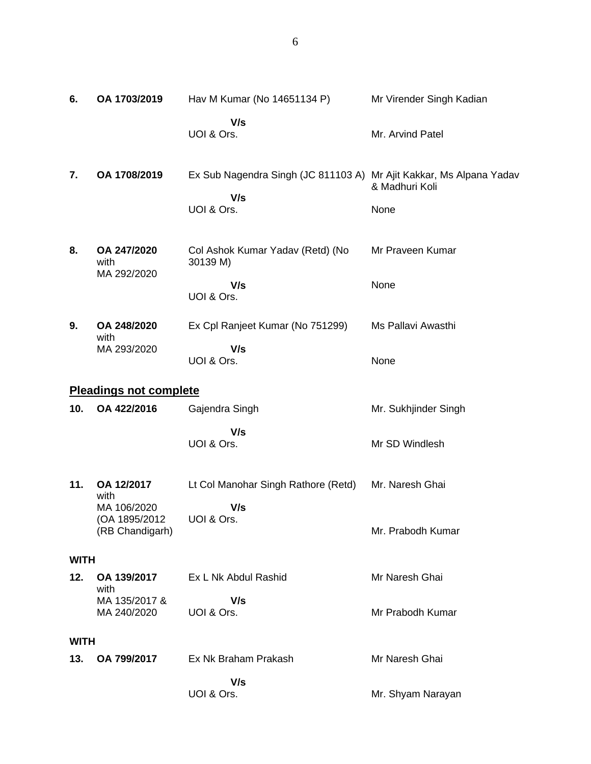| 6.          | OA 1703/2019                                     | Hav M Kumar (No 14651134 P)                                                              | Mr Virender Singh Kadian |
|-------------|--------------------------------------------------|------------------------------------------------------------------------------------------|--------------------------|
|             |                                                  | V/s<br>UOI & Ors.                                                                        | Mr. Arvind Patel         |
| 7.          | OA 1708/2019                                     | Ex Sub Nagendra Singh (JC 811103 A) Mr Ajit Kakkar, Ms Alpana Yadav<br>V/s<br>UOI & Ors. | & Madhuri Koli<br>None   |
| 8.          | OA 247/2020<br>with                              | Col Ashok Kumar Yadav (Retd) (No<br>30139 M)                                             | Mr Praveen Kumar         |
|             | MA 292/2020                                      | V/s<br>UOI & Ors.                                                                        | None                     |
| 9.          | OA 248/2020<br>with                              | Ex Cpl Ranjeet Kumar (No 751299)                                                         | Ms Pallavi Awasthi       |
|             | MA 293/2020                                      | V/s<br>UOI & Ors.                                                                        | None                     |
|             | <b>Pleadings not complete</b>                    |                                                                                          |                          |
| 10.         | OA 422/2016                                      | Gajendra Singh                                                                           | Mr. Sukhjinder Singh     |
|             |                                                  | V/s<br>UOI & Ors.                                                                        | Mr SD Windlesh           |
| 11.         | OA 12/2017<br>with                               | Lt Col Manohar Singh Rathore (Retd)                                                      | Mr. Naresh Ghai          |
|             | MA 106/2020<br>(OA 1895/2012)<br>(RB Chandigarh) | V/s<br>UOI & Ors.                                                                        | Mr. Prabodh Kumar        |
| <b>WITH</b> |                                                  |                                                                                          |                          |
| 12.         | OA 139/2017<br>with                              | Ex L Nk Abdul Rashid                                                                     | Mr Naresh Ghai           |
|             | MA 135/2017 &<br>MA 240/2020                     | V/s<br>UOI & Ors.                                                                        | Mr Prabodh Kumar         |
| <b>WITH</b> |                                                  |                                                                                          |                          |
| 13.         | OA 799/2017                                      | Ex Nk Braham Prakash                                                                     | Mr Naresh Ghai           |
|             |                                                  | V/s<br>UOI & Ors.                                                                        | Mr. Shyam Narayan        |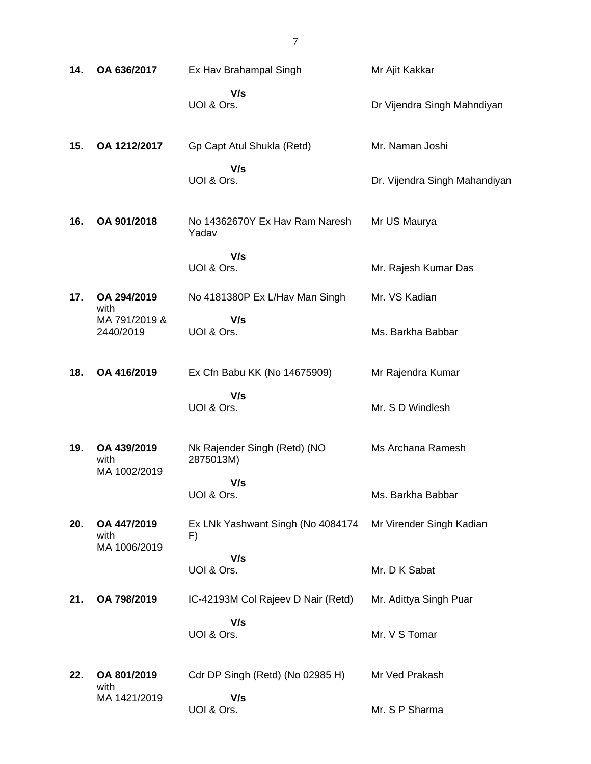| 14. | OA 636/2017                         | Ex Hav Brahampal Singh                    | Mr Ajit Kakkar                |
|-----|-------------------------------------|-------------------------------------------|-------------------------------|
|     |                                     | V/s<br>UOI & Ors.                         | Dr Vijendra Singh Mahndiyan   |
| 15. | OA 1212/2017                        | Gp Capt Atul Shukla (Retd)                | Mr. Naman Joshi               |
|     |                                     | V/s<br>UOI & Ors.                         | Dr. Vijendra Singh Mahandiyan |
| 16. | OA 901/2018                         | No 14362670Y Ex Hav Ram Naresh<br>Yadav   | Mr US Maurya                  |
|     |                                     | V/s<br>UOI & Ors.                         | Mr. Rajesh Kumar Das          |
| 17. | OA 294/2019<br>with                 | No 4181380P Ex L/Hav Man Singh            | Mr. VS Kadian                 |
|     | MA 791/2019 &<br>2440/2019          | V/s<br>UOI & Ors.                         | Ms. Barkha Babbar             |
| 18. | OA 416/2019                         | Ex Cfn Babu KK (No 14675909)              | Mr Rajendra Kumar             |
|     |                                     | V/s<br>UOI & Ors.                         | Mr. S D Windlesh              |
| 19. | OA 439/2019<br>with<br>MA 1002/2019 | Nk Rajender Singh (Retd) (NO<br>2875013M) | Ms Archana Ramesh             |
|     |                                     | V/s<br>UOI & Ors.                         | Ms. Barkha Babbar             |
| 20. | OA 447/2019<br>with<br>MA 1006/2019 | Ex LNk Yashwant Singh (No 4084174<br>F)   | Mr Virender Singh Kadian      |
|     |                                     | V/s<br>UOI & Ors.                         | Mr. D K Sabat                 |
| 21. | OA 798/2019                         | IC-42193M Col Rajeev D Nair (Retd)        | Mr. Adittya Singh Puar        |
|     |                                     | V/s<br>UOI & Ors.                         | Mr. V S Tomar                 |
| 22. | OA 801/2019<br>with                 | Cdr DP Singh (Retd) (No 02985 H)          | Mr Ved Prakash                |
|     | MA 1421/2019                        | V/s<br>UOI & Ors.                         | Mr. S P Sharma                |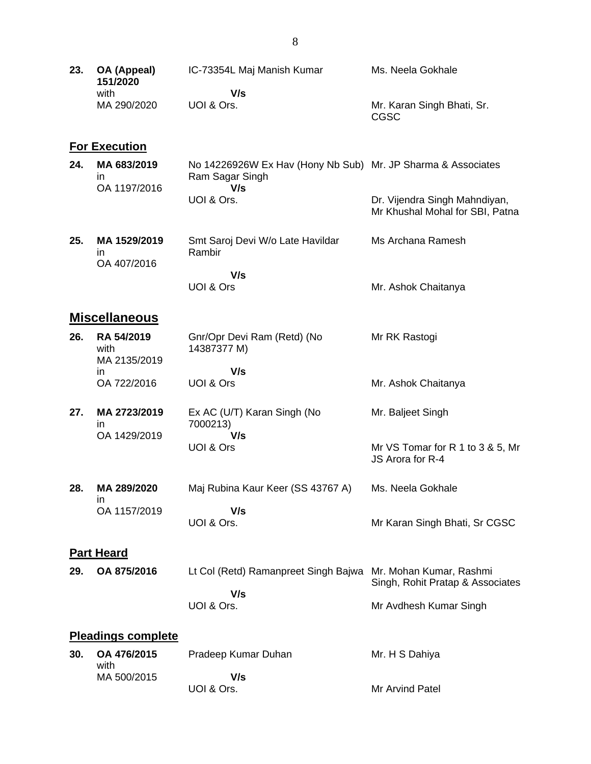| 23. | OA (Appeal)<br>151/2020             | IC-73354L Maj Manish Kumar                                                             | Ms. Neela Gokhale                                                |
|-----|-------------------------------------|----------------------------------------------------------------------------------------|------------------------------------------------------------------|
|     | with<br>MA 290/2020                 | V/s<br>UOI & Ors.                                                                      | Mr. Karan Singh Bhati, Sr.<br><b>CGSC</b>                        |
|     | <b>For Execution</b>                |                                                                                        |                                                                  |
| 24. | MA 683/2019<br>in.<br>OA 1197/2016  | No 14226926W Ex Hav (Hony Nb Sub) Mr. JP Sharma & Associates<br>Ram Sagar Singh<br>V/s |                                                                  |
|     |                                     | UOI & Ors.                                                                             | Dr. Vijendra Singh Mahndiyan,<br>Mr Khushal Mohal for SBI, Patna |
| 25. | MA 1529/2019<br>in.<br>OA 407/2016  | Smt Saroj Devi W/o Late Havildar<br>Rambir                                             | Ms Archana Ramesh                                                |
|     |                                     | V/s<br>UOI & Ors                                                                       | Mr. Ashok Chaitanya                                              |
|     | <b>Miscellaneous</b>                |                                                                                        |                                                                  |
| 26. | RA 54/2019<br>with<br>MA 2135/2019  | Gnr/Opr Devi Ram (Retd) (No<br>14387377 M)                                             | Mr RK Rastogi                                                    |
|     | in.                                 | V/s                                                                                    |                                                                  |
|     | OA 722/2016                         | UOI & Ors                                                                              | Mr. Ashok Chaitanya                                              |
| 27. | MA 2723/2019<br>in.<br>OA 1429/2019 | Ex AC (U/T) Karan Singh (No<br>7000213)<br>V/s                                         | Mr. Baljeet Singh                                                |
|     |                                     | UOI & Ors                                                                              | Mr VS Tomar for R 1 to 3 & 5, Mr<br>JS Arora for R-4             |
| 28. | MA 289/2020<br>in                   | Maj Rubina Kaur Keer (SS 43767 A)                                                      | Ms. Neela Gokhale                                                |
|     | OA 1157/2019                        | V/s<br>UOI & Ors.                                                                      | Mr Karan Singh Bhati, Sr CGSC                                    |
|     | <b>Part Heard</b>                   |                                                                                        |                                                                  |
| 29. | OA 875/2016                         | Lt Col (Retd) Ramanpreet Singh Bajwa                                                   | Mr. Mohan Kumar, Rashmi<br>Singh, Rohit Pratap & Associates      |
|     |                                     | V/s<br>UOI & Ors.                                                                      | Mr Avdhesh Kumar Singh                                           |
|     | <b>Pleadings complete</b>           |                                                                                        |                                                                  |
| 30. | OA 476/2015<br>with                 | Pradeep Kumar Duhan                                                                    | Mr. H S Dahiya                                                   |
|     | MA 500/2015                         | V/s<br>UOI & Ors.                                                                      | Mr Arvind Patel                                                  |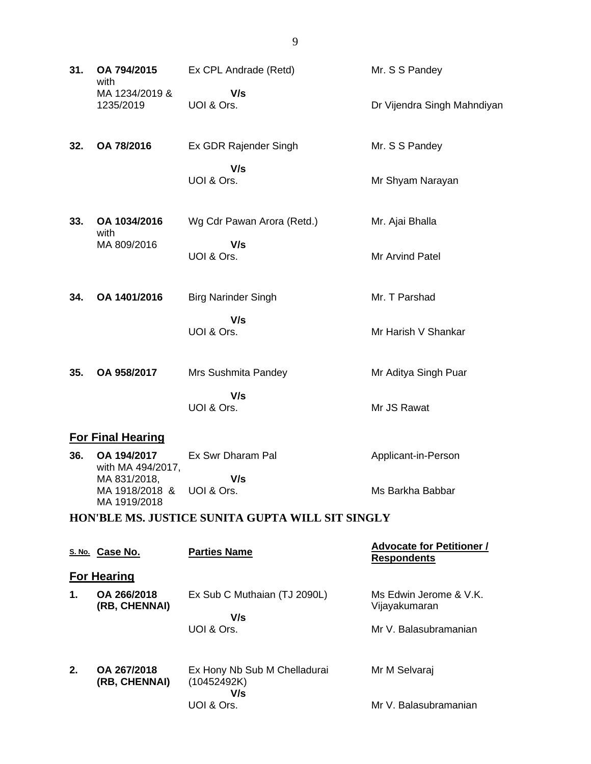| 31. | OA 794/2015<br>with                                       | Ex CPL Andrade (Retd)                              | Mr. S S Pandey                                         |  |  |
|-----|-----------------------------------------------------------|----------------------------------------------------|--------------------------------------------------------|--|--|
|     | MA 1234/2019 &<br>1235/2019                               | V/s<br>UOI & Ors.                                  | Dr Vijendra Singh Mahndiyan                            |  |  |
| 32. | OA 78/2016                                                | Ex GDR Rajender Singh                              | Mr. S S Pandey                                         |  |  |
|     |                                                           | V/s<br>UOI & Ors.                                  | Mr Shyam Narayan                                       |  |  |
| 33. | OA 1034/2016<br>with                                      | Wg Cdr Pawan Arora (Retd.)                         | Mr. Ajai Bhalla                                        |  |  |
|     | MA 809/2016                                               | V/s<br>UOI & Ors.                                  | Mr Arvind Patel                                        |  |  |
| 34. | OA 1401/2016                                              | <b>Birg Narinder Singh</b>                         | Mr. T Parshad                                          |  |  |
|     |                                                           | V/s<br>UOI & Ors.                                  | Mr Harish V Shankar                                    |  |  |
| 35. | OA 958/2017                                               | Mrs Sushmita Pandey                                | Mr Aditya Singh Puar                                   |  |  |
|     |                                                           | V/s<br>UOI & Ors.                                  | Mr JS Rawat                                            |  |  |
|     | <b>For Final Hearing</b>                                  |                                                    |                                                        |  |  |
| 36. | OA 194/2017<br>with MA 494/2017,                          | Ex Swr Dharam Pal                                  | Applicant-in-Person                                    |  |  |
|     | MA 831/2018,<br>MA 1918/2018 & UOI & Ors.<br>MA 1919/2018 | V/s                                                | Ms Barkha Babbar                                       |  |  |
|     | HON'BLE MS. JUSTICE SUNITA GUPTA WILL SIT SINGLY          |                                                    |                                                        |  |  |
|     |                                                           |                                                    |                                                        |  |  |
|     | S. No. Case No.                                           | <b>Parties Name</b>                                | <b>Advocate for Petitioner /</b><br><b>Respondents</b> |  |  |
|     | <b>For Hearing</b>                                        |                                                    |                                                        |  |  |
| 1.  | OA 266/2018<br>(RB, CHENNAI)                              | Ex Sub C Muthaian (TJ 2090L)                       | Ms Edwin Jerome & V.K.<br>Vijayakumaran                |  |  |
|     |                                                           | V/s<br>UOI & Ors.                                  | Mr V. Balasubramanian                                  |  |  |
| 2.  | OA 267/2018<br>(RB, CHENNAI)                              | Ex Hony Nb Sub M Chelladurai<br>(10452492K)<br>V/s | Mr M Selvaraj                                          |  |  |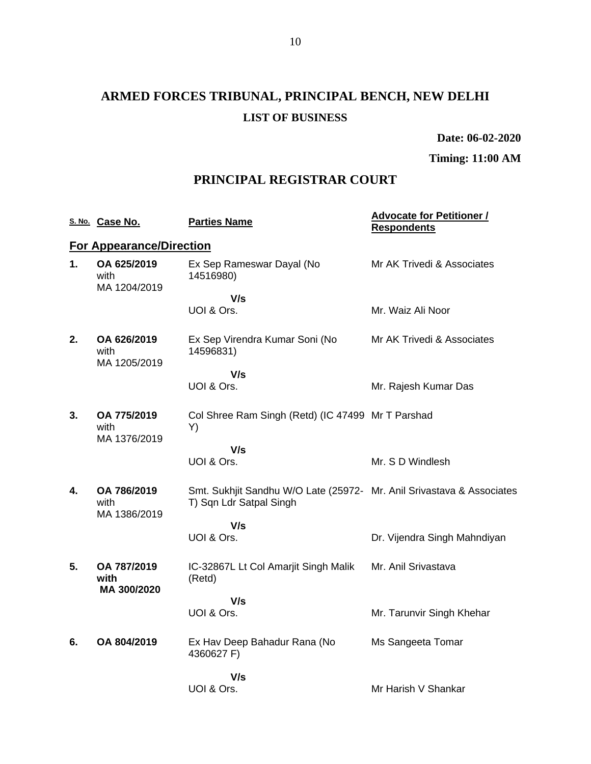# **ARMED FORCES TRIBUNAL, PRINCIPAL BENCH, NEW DELHI LIST OF BUSINESS**

**Date: 06-02-2020**

**Timing: 11:00 AM**

## **PRINCIPAL REGISTRAR COURT**

|    | S. No. Case No.                     | <b>Parties Name</b>                                                                              | <b>Advocate for Petitioner /</b><br><b>Respondents</b> |
|----|-------------------------------------|--------------------------------------------------------------------------------------------------|--------------------------------------------------------|
|    | <b>For Appearance/Direction</b>     |                                                                                                  |                                                        |
| 1. | OA 625/2019<br>with<br>MA 1204/2019 | Ex Sep Rameswar Dayal (No<br>14516980)                                                           | Mr AK Trivedi & Associates                             |
|    |                                     | V/s                                                                                              |                                                        |
|    |                                     | UOI & Ors.                                                                                       | Mr. Waiz Ali Noor                                      |
| 2. | OA 626/2019<br>with<br>MA 1205/2019 | Ex Sep Virendra Kumar Soni (No<br>14596831)                                                      | Mr AK Trivedi & Associates                             |
|    |                                     | V/s                                                                                              |                                                        |
|    |                                     | UOI & Ors.                                                                                       | Mr. Rajesh Kumar Das                                   |
| 3. | OA 775/2019<br>with<br>MA 1376/2019 | Col Shree Ram Singh (Retd) (IC 47499 Mr T Parshad<br>Y)                                          |                                                        |
|    |                                     | V/s                                                                                              |                                                        |
|    |                                     | UOI & Ors.                                                                                       | Mr. S D Windlesh                                       |
| 4. | OA 786/2019<br>with<br>MA 1386/2019 | Smt. Sukhjit Sandhu W/O Late (25972- Mr. Anil Srivastava & Associates<br>T) Sqn Ldr Satpal Singh |                                                        |
|    |                                     | V/s                                                                                              |                                                        |
|    |                                     | UOI & Ors.                                                                                       | Dr. Vijendra Singh Mahndiyan                           |
| 5. | OA 787/2019<br>with<br>MA 300/2020  | IC-32867L Lt Col Amarjit Singh Malik<br>(Retd)                                                   | Mr. Anil Srivastava                                    |
|    |                                     | V/s                                                                                              |                                                        |
|    |                                     | UOI & Ors.                                                                                       | Mr. Tarunvir Singh Khehar                              |
| 6. | OA 804/2019                         | Ex Hav Deep Bahadur Rana (No<br>4360627 F)                                                       | Ms Sangeeta Tomar                                      |
|    |                                     | V/s                                                                                              |                                                        |
|    |                                     | UOI & Ors.                                                                                       | Mr Harish V Shankar                                    |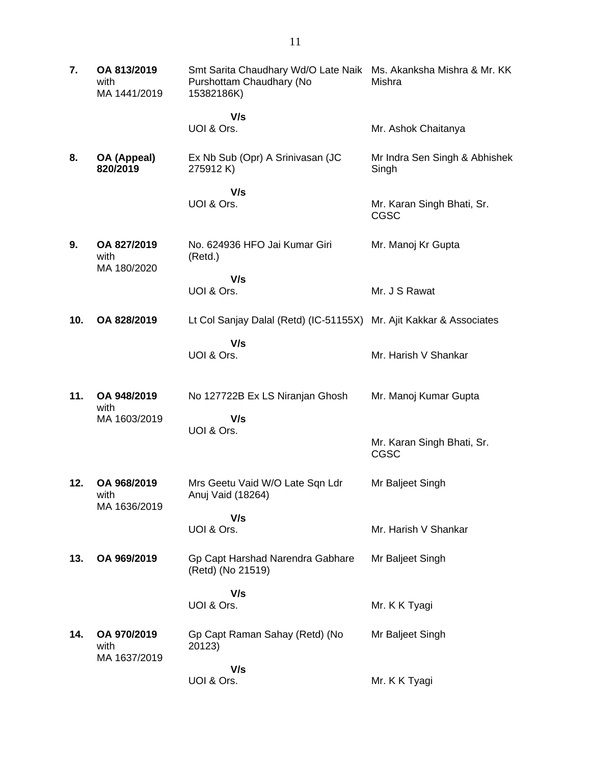| 7.  | OA 813/2019<br>with<br>MA 1441/2019 | Smt Sarita Chaudhary Wd/O Late Naik<br>Purshottam Chaudhary (No<br>15382186K) | Ms. Akanksha Mishra & Mr. KK<br>Mishra    |
|-----|-------------------------------------|-------------------------------------------------------------------------------|-------------------------------------------|
|     |                                     | V/s<br>UOI & Ors.                                                             | Mr. Ashok Chaitanya                       |
| 8.  | OA (Appeal)<br>820/2019             | Ex Nb Sub (Opr) A Srinivasan (JC<br>275912K)                                  | Mr Indra Sen Singh & Abhishek<br>Singh    |
|     |                                     | V/s<br>UOI & Ors.                                                             | Mr. Karan Singh Bhati, Sr.<br><b>CGSC</b> |
| 9.  | OA 827/2019<br>with                 | No. 624936 HFO Jai Kumar Giri<br>(Retd.)                                      | Mr. Manoj Kr Gupta                        |
|     | MA 180/2020                         | V/s                                                                           |                                           |
|     |                                     | UOI & Ors.                                                                    | Mr. J S Rawat                             |
| 10. | OA 828/2019                         | Lt Col Sanjay Dalal (Retd) (IC-51155X)                                        | Mr. Ajit Kakkar & Associates              |
|     |                                     | V/s<br>UOI & Ors.                                                             | Mr. Harish V Shankar                      |
| 11. | OA 948/2019<br>with                 | No 127722B Ex LS Niranjan Ghosh                                               | Mr. Manoj Kumar Gupta                     |
|     | MA 1603/2019                        | V/s<br>UOI & Ors.                                                             | Mr. Karan Singh Bhati, Sr.<br><b>CGSC</b> |
| 12. | OA 968/2019<br>with                 | Mrs Geetu Vaid W/O Late Sqn Ldr<br>Anuj Vaid (18264)                          | Mr Baljeet Singh                          |
|     | MA 1636/2019                        | V/s<br>UOI & Ors.                                                             | Mr. Harish V Shankar                      |
| 13. | OA 969/2019                         | Gp Capt Harshad Narendra Gabhare<br>(Retd) (No 21519)                         | Mr Baljeet Singh                          |
|     |                                     | V/s                                                                           |                                           |
|     |                                     | UOI & Ors.                                                                    | Mr. K K Tyagi                             |
| 14. | OA 970/2019<br>with<br>MA 1637/2019 | Gp Capt Raman Sahay (Retd) (No<br>20123)                                      | Mr Baljeet Singh                          |
|     |                                     | V/s<br>UOI & Ors.                                                             | Mr. K K Tyagi                             |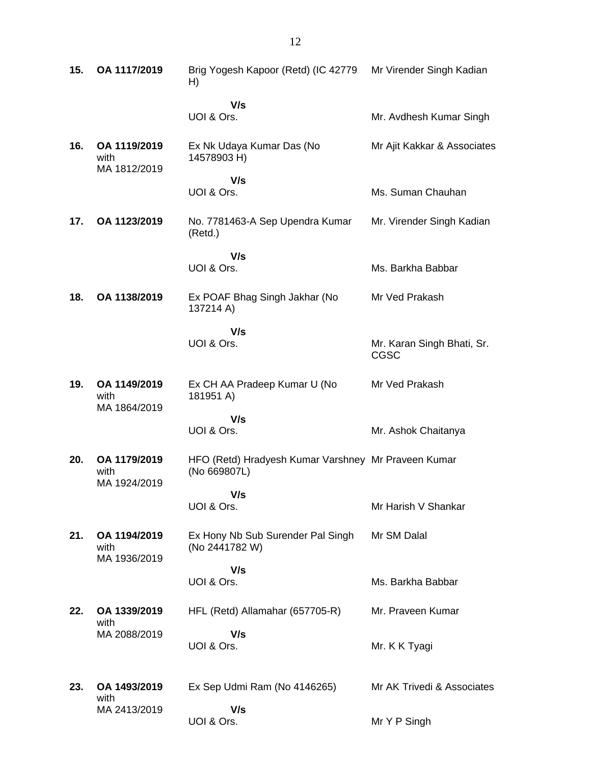| 15. | OA 1117/2019                         | Brig Yogesh Kapoor (Retd) (IC 42779 Mr Virender Singh Kadian<br>H)  |                                           |
|-----|--------------------------------------|---------------------------------------------------------------------|-------------------------------------------|
|     |                                      | V/s<br>UOI & Ors.                                                   | Mr. Avdhesh Kumar Singh                   |
| 16. | OA 1119/2019<br>with<br>MA 1812/2019 | Ex Nk Udaya Kumar Das (No<br>14578903 H)                            | Mr Ajit Kakkar & Associates               |
|     |                                      | V/s<br>UOI & Ors.                                                   | Ms. Suman Chauhan                         |
| 17. | OA 1123/2019                         | No. 7781463-A Sep Upendra Kumar<br>(Retd.)                          | Mr. Virender Singh Kadian                 |
|     |                                      | V/s<br>UOI & Ors.                                                   | Ms. Barkha Babbar                         |
| 18. | OA 1138/2019                         | Ex POAF Bhag Singh Jakhar (No<br>137214 A)                          | Mr Ved Prakash                            |
|     |                                      | V/s<br>UOI & Ors.                                                   | Mr. Karan Singh Bhati, Sr.<br><b>CGSC</b> |
| 19. | OA 1149/2019<br>with<br>MA 1864/2019 | Ex CH AA Pradeep Kumar U (No<br>181951 A)                           | Mr Ved Prakash                            |
|     |                                      | V/s<br>UOI & Ors.                                                   | Mr. Ashok Chaitanya                       |
| 20. | OA 1179/2019<br>with<br>MA 1924/2019 | HFO (Retd) Hradyesh Kumar Varshney Mr Praveen Kumar<br>(No 669807L) |                                           |
|     |                                      | V/s<br>UOI & Ors.                                                   | Mr Harish V Shankar                       |
| 21. | OA 1194/2019<br>with<br>MA 1936/2019 | Ex Hony Nb Sub Surender Pal Singh<br>(No 2441782 W)                 | Mr SM Dalal                               |
|     |                                      | V/s<br>UOI & Ors.                                                   | Ms. Barkha Babbar                         |
| 22. | OA 1339/2019<br>with                 | HFL (Retd) Allamahar (657705-R)                                     | Mr. Praveen Kumar                         |
|     | MA 2088/2019                         | V/s<br>UOI & Ors.                                                   | Mr. K K Tyagi                             |
| 23. | OA 1493/2019<br>with                 | Ex Sep Udmi Ram (No 4146265)                                        | Mr AK Trivedi & Associates                |
|     | MA 2413/2019                         | V/s<br>UOI & Ors.                                                   | Mr Y P Singh                              |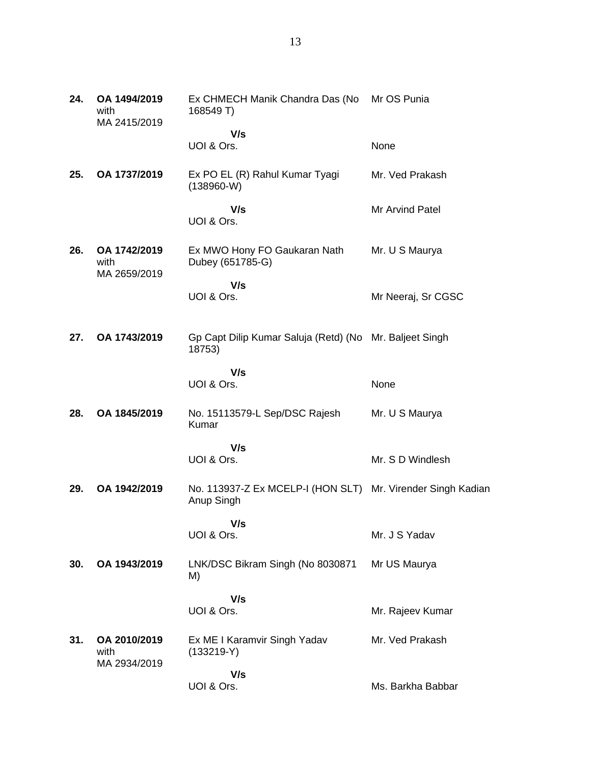| 24. | OA 1494/2019<br>with<br>MA 2415/2019 | Ex CHMECH Manik Chandra Das (No<br>168549 T)                              | Mr OS Punia        |
|-----|--------------------------------------|---------------------------------------------------------------------------|--------------------|
|     |                                      | V/s<br>UOI & Ors.                                                         | None               |
| 25. | OA 1737/2019                         | Ex PO EL (R) Rahul Kumar Tyagi<br>$(138960-W)$                            | Mr. Ved Prakash    |
|     |                                      | V/s<br>UOI & Ors.                                                         | Mr Arvind Patel    |
| 26. | OA 1742/2019<br>with<br>MA 2659/2019 | Ex MWO Hony FO Gaukaran Nath<br>Dubey (651785-G)                          | Mr. U S Maurya     |
|     |                                      | V/s<br>UOI & Ors.                                                         | Mr Neeraj, Sr CGSC |
| 27. | OA 1743/2019                         | Gp Capt Dilip Kumar Saluja (Retd) (No Mr. Baljeet Singh<br>18753)         |                    |
|     |                                      | V/s<br>UOI & Ors.                                                         | None               |
| 28. | OA 1845/2019                         | No. 15113579-L Sep/DSC Rajesh<br>Kumar                                    | Mr. U S Maurya     |
|     |                                      | V/s<br>UOI & Ors.                                                         | Mr. S D Windlesh   |
| 29. | OA 1942/2019                         | No. 113937-Z Ex MCELP-I (HON SLT) Mr. Virender Singh Kadian<br>Anup Singh |                    |
|     |                                      | V/s<br>UOI & Ors.                                                         | Mr. J S Yadav      |
| 30. | OA 1943/2019                         | LNK/DSC Bikram Singh (No 8030871<br>M)                                    | Mr US Maurya       |
|     |                                      | V/s<br>UOI & Ors.                                                         | Mr. Rajeev Kumar   |
| 31. | OA 2010/2019<br>with<br>MA 2934/2019 | Ex ME I Karamvir Singh Yadav<br>$(133219-Y)$                              | Mr. Ved Prakash    |
|     |                                      | V/s<br>UOI & Ors.                                                         | Ms. Barkha Babbar  |